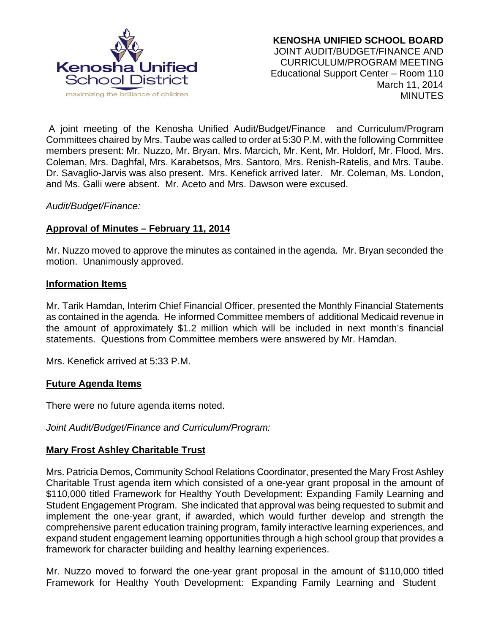

 A joint meeting of the Kenosha Unified Audit/Budget/Finance and Curriculum/Program Committees chaired by Mrs. Taube was called to order at 5:30 P.M. with the following Committee members present: Mr. Nuzzo, Mr. Bryan, Mrs. Marcich, Mr. Kent, Mr. Holdorf, Mr. Flood, Mrs. Coleman, Mrs. Daghfal, Mrs. Karabetsos, Mrs. Santoro, Mrs. Renish-Ratelis, and Mrs. Taube. Dr. Savaglio-Jarvis was also present. Mrs. Kenefick arrived later. Mr. Coleman, Ms. London, and Ms. Galli were absent. Mr. Aceto and Mrs. Dawson were excused.

## *Audit/Budget/Finance:*

## **Approval of Minutes – February 11, 2014**

Mr. Nuzzo moved to approve the minutes as contained in the agenda. Mr. Bryan seconded the motion. Unanimously approved.

#### **Information Items**

Mr. Tarik Hamdan, Interim Chief Financial Officer, presented the Monthly Financial Statements as contained in the agenda. He informed Committee members of additional Medicaid revenue in the amount of approximately \$1.2 million which will be included in next month's financial statements. Questions from Committee members were answered by Mr. Hamdan.

Mrs. Kenefick arrived at 5:33 P.M.

## **Future Agenda Items**

There were no future agenda items noted.

*Joint Audit/Budget/Finance and Curriculum/Program:* 

## **Mary Frost Ashley Charitable Trust**

Mrs. Patricia Demos, Community School Relations Coordinator, presented the Mary Frost Ashley Charitable Trust agenda item which consisted of a one-year grant proposal in the amount of \$110,000 titled Framework for Healthy Youth Development: Expanding Family Learning and Student Engagement Program. She indicated that approval was being requested to submit and implement the one-year grant, if awarded, which would further develop and strength the comprehensive parent education training program, family interactive learning experiences, and expand student engagement learning opportunities through a high school group that provides a framework for character building and healthy learning experiences.

Mr. Nuzzo moved to forward the one-year grant proposal in the amount of \$110,000 titled Framework for Healthy Youth Development: Expanding Family Learning and Student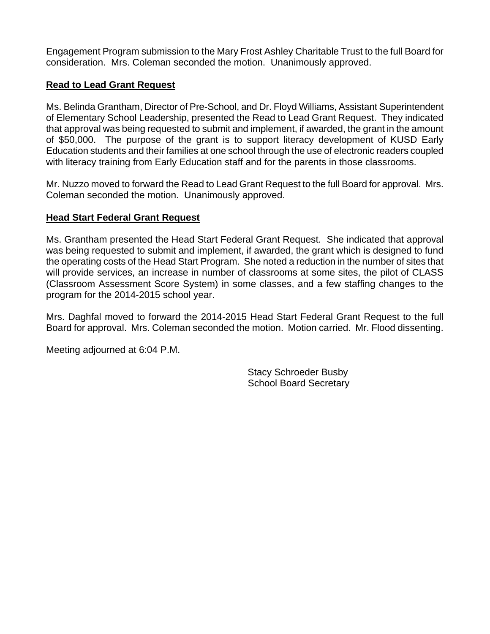Engagement Program submission to the Mary Frost Ashley Charitable Trust to the full Board for consideration. Mrs. Coleman seconded the motion. Unanimously approved.

## **Read to Lead Grant Request**

Ms. Belinda Grantham, Director of Pre-School, and Dr. Floyd Williams, Assistant Superintendent of Elementary School Leadership, presented the Read to Lead Grant Request. They indicated that approval was being requested to submit and implement, if awarded, the grant in the amount of \$50,000. The purpose of the grant is to support literacy development of KUSD Early Education students and their families at one school through the use of electronic readers coupled with literacy training from Early Education staff and for the parents in those classrooms.

Mr. Nuzzo moved to forward the Read to Lead Grant Request to the full Board for approval. Mrs. Coleman seconded the motion. Unanimously approved.

## **Head Start Federal Grant Request**

Ms. Grantham presented the Head Start Federal Grant Request. She indicated that approval was being requested to submit and implement, if awarded, the grant which is designed to fund the operating costs of the Head Start Program. She noted a reduction in the number of sites that will provide services, an increase in number of classrooms at some sites, the pilot of CLASS (Classroom Assessment Score System) in some classes, and a few staffing changes to the program for the 2014-2015 school year.

Mrs. Daghfal moved to forward the 2014-2015 Head Start Federal Grant Request to the full Board for approval. Mrs. Coleman seconded the motion. Motion carried. Mr. Flood dissenting.

Meeting adjourned at 6:04 P.M.

Stacy Schroeder Busby School Board Secretary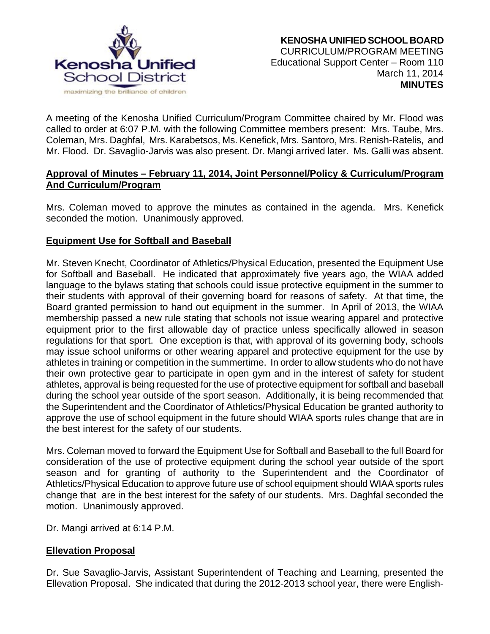

A meeting of the Kenosha Unified Curriculum/Program Committee chaired by Mr. Flood was called to order at 6:07 P.M. with the following Committee members present: Mrs. Taube, Mrs. Coleman, Mrs. Daghfal, Mrs. Karabetsos, Ms. Kenefick, Mrs. Santoro, Mrs. Renish-Ratelis, and Mr. Flood. Dr. Savaglio-Jarvis was also present. Dr. Mangi arrived later. Ms. Galli was absent.

## **Approval of Minutes – February 11, 2014, Joint Personnel/Policy & Curriculum/Program And Curriculum/Program**

Mrs. Coleman moved to approve the minutes as contained in the agenda. Mrs. Kenefick seconded the motion. Unanimously approved.

# **Equipment Use for Softball and Baseball**

Mr. Steven Knecht, Coordinator of Athletics/Physical Education, presented the Equipment Use for Softball and Baseball. He indicated that approximately five years ago, the WIAA added language to the bylaws stating that schools could issue protective equipment in the summer to their students with approval of their governing board for reasons of safety. At that time, the Board granted permission to hand out equipment in the summer. In April of 2013, the WIAA membership passed a new rule stating that schools not issue wearing apparel and protective equipment prior to the first allowable day of practice unless specifically allowed in season regulations for that sport. One exception is that, with approval of its governing body, schools may issue school uniforms or other wearing apparel and protective equipment for the use by athletes in training or competition in the summertime. In order to allow students who do not have their own protective gear to participate in open gym and in the interest of safety for student athletes, approval is being requested for the use of protective equipment for softball and baseball during the school year outside of the sport season. Additionally, it is being recommended that the Superintendent and the Coordinator of Athletics/Physical Education be granted authority to approve the use of school equipment in the future should WIAA sports rules change that are in the best interest for the safety of our students.

Mrs. Coleman moved to forward the Equipment Use for Softball and Baseball to the full Board for consideration of the use of protective equipment during the school year outside of the sport season and for granting of authority to the Superintendent and the Coordinator of Athletics/Physical Education to approve future use of school equipment should WIAA sports rules change that are in the best interest for the safety of our students. Mrs. Daghfal seconded the motion. Unanimously approved.

Dr. Mangi arrived at 6:14 P.M.

# **Ellevation Proposal**

Dr. Sue Savaglio-Jarvis, Assistant Superintendent of Teaching and Learning, presented the Ellevation Proposal. She indicated that during the 2012-2013 school year, there were English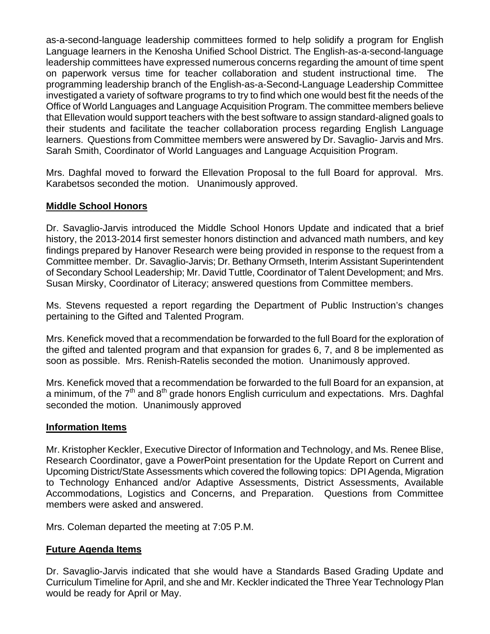as-a-second-language leadership committees formed to help solidify a program for English Language learners in the Kenosha Unified School District. The English-as-a-second-language leadership committees have expressed numerous concerns regarding the amount of time spent on paperwork versus time for teacher collaboration and student instructional time. The programming leadership branch of the English-as-a-Second-Language Leadership Committee investigated a variety of software programs to try to find which one would best fit the needs of the Office of World Languages and Language Acquisition Program. The committee members believe that Ellevation would support teachers with the best software to assign standard-aligned goals to their students and facilitate the teacher collaboration process regarding English Language learners. Questions from Committee members were answered by Dr. Savaglio- Jarvis and Mrs. Sarah Smith, Coordinator of World Languages and Language Acquisition Program.

Mrs. Daghfal moved to forward the Ellevation Proposal to the full Board for approval. Mrs. Karabetsos seconded the motion. Unanimously approved.

## **Middle School Honors**

Dr. Savaglio-Jarvis introduced the Middle School Honors Update and indicated that a brief history, the 2013-2014 first semester honors distinction and advanced math numbers, and key findings prepared by Hanover Research were being provided in response to the request from a Committee member. Dr. Savaglio-Jarvis; Dr. Bethany Ormseth, Interim Assistant Superintendent of Secondary School Leadership; Mr. David Tuttle, Coordinator of Talent Development; and Mrs. Susan Mirsky, Coordinator of Literacy; answered questions from Committee members.

Ms. Stevens requested a report regarding the Department of Public Instruction's changes pertaining to the Gifted and Talented Program.

Mrs. Kenefick moved that a recommendation be forwarded to the full Board for the exploration of the gifted and talented program and that expansion for grades 6, 7, and 8 be implemented as soon as possible. Mrs. Renish-Ratelis seconded the motion. Unanimously approved.

Mrs. Kenefick moved that a recommendation be forwarded to the full Board for an expansion, at a minimum, of the  $7<sup>th</sup>$  and  $8<sup>th</sup>$  grade honors English curriculum and expectations. Mrs. Daghfal seconded the motion. Unanimously approved

## **Information Items**

Mr. Kristopher Keckler, Executive Director of Information and Technology, and Ms. Renee Blise, Research Coordinator, gave a PowerPoint presentation for the Update Report on Current and Upcoming District/State Assessments which covered the following topics: DPI Agenda, Migration to Technology Enhanced and/or Adaptive Assessments, District Assessments, Available Accommodations, Logistics and Concerns, and Preparation. Questions from Committee members were asked and answered.

Mrs. Coleman departed the meeting at 7:05 P.M.

## **Future Agenda Items**

Dr. Savaglio-Jarvis indicated that she would have a Standards Based Grading Update and Curriculum Timeline for April, and she and Mr. Keckler indicated the Three Year Technology Plan would be ready for April or May.